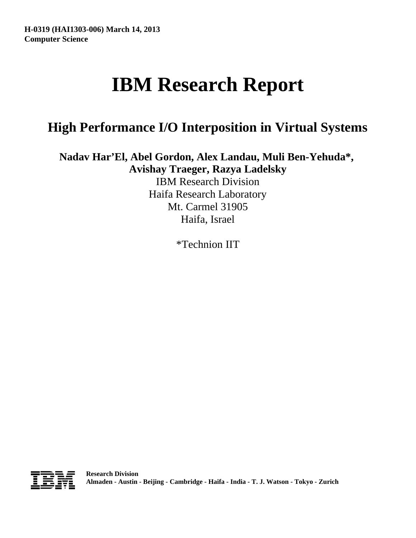# **IBM Research Report**

# **High Performance I/O Interposition in Virtual Systems**

**Nadav Har'El, Abel Gordon, Alex Landau, Muli Ben-Yehuda\*, Avishay Traeger, Razya Ladelsky**

> IBM Research Division Haifa Research Laboratory Mt. Carmel 31905 Haifa, Israel

> > \*Technion IIT

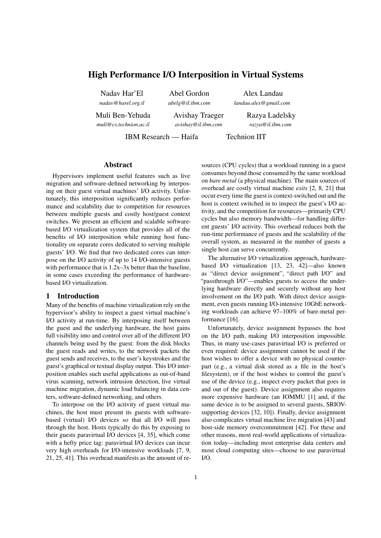# High Performance I/O Interposition in Virtual Systems

Nadav Har'El *nadav@harel.org.il*

Abel Gordon *abelg@il.ibm.com*

Alex Landau *landau.alex@gmail.com*

Muli Ben-Yehuda *muli@cs.technion.ac.il*

Avishay Traeger *avishay@il.ibm.com*

Razya Ladelsky *razya@il.ibm.com*

IBM Research — Haifa Technion IIT

# Abstract

Hypervisors implement useful features such as live migration and software-defined networking by interposing on their guest virtual machines' I/O activity. Unfortunately, this interposition significantly reduces performance and scalability due to competition for resources between multiple guests and costly host/guest context switches. We present an efficient and scalable softwarebased I/O virtualization system that provides all of the benefits of I/O interposition while running host functionality on separate cores dedicated to serving multiple guests' I/O. We find that two dedicated cores can interpose on the I/O activity of up to 14 I/O-intensive guests with performance that is  $1.2x-3x$  better than the baseline, in some cases exceeding the performance of hardwarebased I/O virtualization.

# 1 Introduction

Many of the benefits of machine virtualization rely on the hypervisor's ability to inspect a guest virtual machine's I/O activity at run-time. By interposing itself between the guest and the underlying hardware, the host gains full visibility into and control over all of the different I/O channels being used by the guest: from the disk blocks the guest reads and writes, to the network packets the guest sends and receives, to the user's keystrokes and the guest's graphical or textual display output. This I/O interposition enables such useful applications as out-of-band virus scanning, network intrusion detection, live virtual machine migration, dynamic load balancing in data centers, software-defined networking, and others.

To interpose on the I/O activity of guest virtual machines, the host must present its guests with softwarebased (virtual) I/O devices so that all I/O will pass through the host. Hosts typically do this by exposing to their guests paravirtual I/O devices [4, 35], which come with a hefty price tag: paravirtual I/O devices can incur very high overheads for I/O-intensive workloads [7, 9, 21, 25, 41]. This overhead manifests as the amount of resources (CPU cycles) that a workload running in a guest consumes beyond those consumed by the same workload on *bare metal* (a physical machine). The main sources of overhead are costly virtual machine *exits* [2, 8, 21] that occur every time the guest is context-switched out and the host is context switched in to inspect the guest's I/O activity, and the competition for resources—primarily CPU cycles but also memory bandwidth—for handling different guests' I/O activity. This overhead reduces both the run-time performance of guests and the scalability of the overall system, as measured in the number of guests a single host can serve concurrently.

The alternative I/O virtualization approach, hardwarebased I/O virtualization [13, 23, 42]—also known as "direct device assignment", "direct path I/O" and "passthrough I/O"—enables guests to access the underlying hardware directly and securely without any host involvement on the I/O path. With direct device assignment, even guests running I/O-intensive 10GbE networking workloads can achieve 97–100% of bare-metal performance [16].

Unfortunately, device assignment bypasses the host on the I/O path, making I/O interposition impossible. Thus, in many use-cases paravirtual I/O is preferred or even required: device assignment cannot be used if the host wishes to offer a device with no physical counterpart (e.g., a virtual disk stored as a file in the host's filesystem), or if the host wishes to control the guest's use of the device (e.g., inspect every packet that goes in and out of the guest). Device assignment also requires more expensive hardware (an IOMMU [1] and, if the same device is to be assigned to several guests, SRIOVsupporting devices [32, 10]). Finally, device assignment also complicates virtual machine live migration [43] and host-side memory overcommitment [42]. For these and other reasons, most real-world applications of virtualization today—including most enterprise data centers and most cloud computing sites—choose to use paravirtual I/O.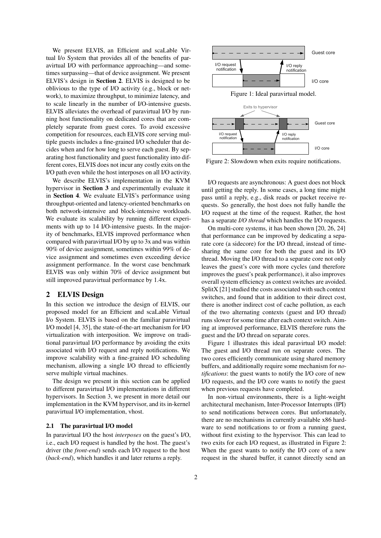We present ELVIS, an Efficient and scaLable Virtual I/o System that provides all of the benefits of paravirtual I/O with performance approaching—and sometimes surpassing—that of device assignment. We present ELVIS's design in Section 2. ELVIS is designed to be oblivious to the type of I/O activity (e.g., block or network), to maximize throughput, to minimize latency, and to scale linearly in the number of I/O-intensive guests. ELVIS alleviates the overhead of paravirtual I/O by running host functionality on dedicated cores that are completely separate from guest cores. To avoid excessive competition for resources, each ELVIS core serving multiple guests includes a fine-grained I/O scheduler that decides when and for how long to serve each guest. By separating host functionality and guest functionality into different cores, ELVIS does not incur any costly exits on the I/O path even while the host interposes on all I/O activity.

We describe ELVIS's implementation in the KVM hypervisor in Section 3 and experimentally evaluate it in Section 4. We evaluate ELVIS's performance using throughput-oriented and latency-oriented benchmarks on both network-intensive and block-intensive workloads. We evaluate its scalability by running different experiments with up to 14 I/O-intensive guests. In the majority of benchmarks, ELVIS improved performance when compared with paravirtual I/O by up to 3x and was within 90% of device assignment, sometimes within 99% of device assignment and sometimes even exceeding device assignment performance. In the worst case benchmark ELVIS was only within 70% of device assignment but still improved paravirtual performance by 1.4x.

# 2 ELVIS Design

In this section we introduce the design of ELVIS, our proposed model for an Efficient and scaLable Virtual I/o System. ELVIS is based on the familiar paravirtual I/O model [4, 35], the state-of-the-art mechanism for I/O virtualization with interposition. We improve on traditional paravirtual I/O performance by avoiding the exits associated with I/O request and reply notifications. We improve scalability with a fine-grained I/O scheduling mechanism, allowing a single I/O thread to efficiently serve multiple virtual machines.

The design we present in this section can be applied to different paravirtual I/O implementations in different hypervisors. In Section 3, we present in more detail our implementation in the KVM hypervisor, and its in-kernel paravirtual I/O implementation, vhost.

# 2.1 The paravirtual I/O model

In paravirtual I/O the host *interposes* on the guest's I/O, i.e., each I/O request is handled by the host. The guest's driver (the *front-end*) sends each I/O request to the host (*back-end*), which handles it and later returns a reply.



Figure 2: Slowdown when exits require notifications.

I/O requests are asynchronous: A guest does not block until getting the reply. In some cases, a long time might pass until a reply, e.g., disk reads or packet receive requests. So generally, the host does not fully handle the I/O request at the time of the request. Rather, the host has a separate *I/O thread* which handles the I/O requests.

On multi-core systems, it has been shown [20, 26, 24] that performance can be improved by dedicating a separate core (a sidecore) for the I/O thread, instead of timesharing the same core for both the guest and its I/O thread. Moving the I/O thread to a separate core not only leaves the guest's core with more cycles (and therefore improves the guest's peak performance), it also improves overall system efficiency as context switches are avoided. SplitX [21] studied the costs associated with such context switches, and found that in addition to their direct cost, there is another indirect cost of cache pollution, as each of the two alternating contexts (guest and I/O thread) runs slower for some time after each context switch. Aiming at improved performance, ELVIS therefore runs the guest and the I/O thread on separate cores.

Figure 1 illustrates this ideal paravirtual I/O model: The guest and I/O thread run on separate cores. The two cores efficiently communicate using shared memory buffers, and additionally require some mechanism for *notifications*: the guest wants to notify the I/O core of new I/O requests, and the I/O core wants to notify the guest when previous requests have completed.

In non-virtual environments, there is a light-weight architectural mechanism, Inter-Processor Interrupts (IPI) to send notifications between cores. But unfortunately, there are no mechanisms in currently available x86 hardware to send notifications to or from a running guest, without first existing to the hypervisor. This can lead to two exits for each I/O request, as illustrated in Figure 2: When the guest wants to notify the I/O core of a new request in the shared buffer, it cannot directly send an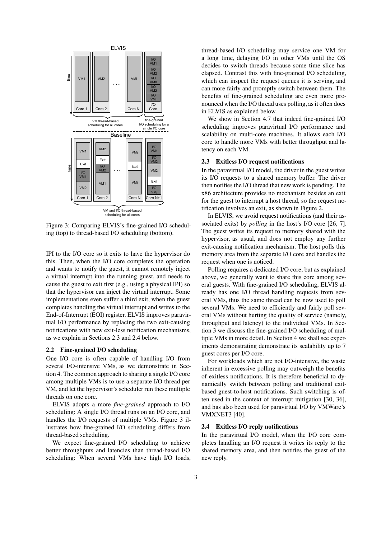

Figure 3: Comparing ELVIS's fine-grained I/O scheduling (top) to thread-based I/O scheduling (bottom).

IPI to the I/O core so it exits to have the hypervisor do this. Then, when the I/O core completes the operation and wants to notify the guest, it cannot remotely inject a virtual interrupt into the running guest, and needs to cause the guest to exit first (e.g., using a physical IPI) so that the hypervisor can inject the virtual interrupt. Some implementations even suffer a third exit, when the guest completes handling the virtual interrupt and writes to the End-of-Interrupt (EOI) register. ELVIS improves paravirtual I/O performance by replacing the two exit-causing notifications with new exit-less notification mechanisms, as we explain in Sections 2.3 and 2.4 below.

# 2.2 Fine-grained I/O scheduling

One I/O core is often capable of handling I/O from several I/O-intensive VMs, as we demonstrate in Section 4. The common approach to sharing a single I/O core among multiple VMs is to use a separate I/O thread per VM, and let the hypervisor's scheduler run these multiple threads on one core.

ELVIS adopts a more *fine-grained* approach to I/O scheduling: A single I/O thread runs on an I/O core, and handles the I/O requests of multiple VMs. Figure 3 illustrates how fine-grained I/O scheduling differs from thread-based scheduling.

We expect fine-grained I/O scheduling to achieve better throughputs and latencies than thread-based I/O scheduling: When several VMs have high I/O loads,

thread-based I/O scheduling may service one VM for a long time, delaying I/O in other VMs until the OS decides to switch threads because some time slice has elapsed. Contrast this with fine-grained I/O scheduling, which can inspect the request queues it is serving, and can more fairly and promptly switch between them. The benefits of fine-grained scheduling are even more pronounced when the I/O thread uses polling, as it often does in ELVIS as explained below.

We show in Section 4.7 that indeed fine-grained I/O scheduling improves paravirtual I/O performance and scalability on multi-core machines. It allows each I/O core to handle more VMs with better throughput and latency on each VM.

#### 2.3 Exitless I/O request notifications

In the paravirtual I/O model, the driver in the guest writes its I/O requests to a shared memory buffer. The driver then notifies the I/O thread that new work is pending. The x86 architecture provides no mechanism besides an exit for the guest to interrupt a host thread, so the request notification involves an exit, as shown in Figure 2.

In ELVIS, we avoid request notifications (and their associated exits) by *polling* in the host's I/O core [26, 7]. The guest writes its request to memory shared with the hypervisor, as usual, and does not employ any further exit-causing notification mechanism. The host polls this memory area from the separate I/O core and handles the request when one is noticed.

Polling requires a dedicated I/O core, but as explained above, we generally want to share this core among several guests. With fine-grained I/O scheduling, ELVIS already has one I/O thread handling requests from several VMs, thus the same thread can be now used to poll several VMs. We need to efficiently and fairly poll several VMs without hurting the quality of service (namely, throughput and latency) to the individual VMs. In Section 3 we discuss the fine-grained I/O scheduling of multiple VMs in more detail. In Section 4 we shall see experiments demonstrating demonstrate its scalability up to 7 guest cores per I/O core.

For workloads which are not I/O-intensive, the waste inherent in excessive polling may outweigh the benefits of exitless notifications. It is therefore beneficial to dynamically switch between polling and traditional exitbased guest-to-host notifications. Such switching is often used in the context of interrupt mitigation [30, 36], and has also been used for paravirtual I/O by VMWare's VMXNET3 [40].

#### 2.4 Exitless I/O reply notifications

In the paravirtual I/O model, when the I/O core completes handling an I/O request it writes its reply to the shared memory area, and then notifies the guest of the new reply.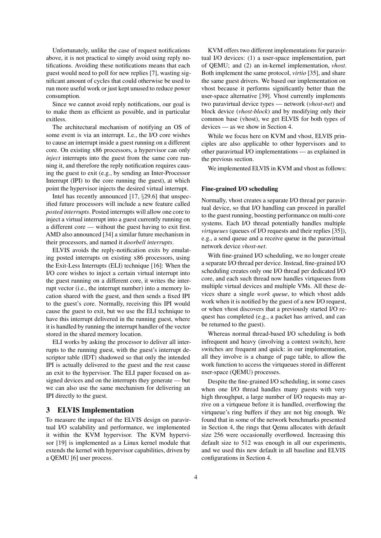Unfortunately, unlike the case of request notifications above, it is not practical to simply avoid using reply notifications. Avoiding these notifications means that each guest would need to poll for new replies [7], wasting significant amount of cycles that could otherwise be used to run more useful work or just kept unused to reduce power consumption.

Since we cannot avoid reply notifications, our goal is to make them as efficient as possible, and in particular exitless.

The architectural mechanism of notifying an OS of some event is via an interrupt. I.e., the I/O core wishes to cause an interrupt inside a guest running on a different core. On existing x86 processors, a hypervisor can only *inject* interrupts into the guest from the same core running it, and therefore the reply notification requires causing the guest to exit (e.g., by sending an Inter-Processor Interrupt (IPI) to the core running the guest), at which point the hypervisor injects the desired virtual interrupt.

Intel has recently announced [17, *§*29.6] that unspecified future processors will include a new feature called *posted interrupts*. Posted interrupts will allow one core to inject a virtual interrupt into a guest currently running on a different core — without the guest having to exit first. AMD also announced [34] a similar future mechanism in their processors, and named it *doorbell interrupts*.

ELVIS avoids the reply-notification exits by emulating posted interrupts on existing x86 processors, using the Exit-Less Interrupts (ELI) technique [16]: When the I/O core wishes to inject a certain virtual interrupt into the guest running on a different core, it writes the interrupt vector (i.e., the interrupt number) into a memory location shared with the guest, and then sends a fixed IPI to the guest's core. Normally, receiving this IPI would cause the guest to exit, but we use the ELI technique to have this interrupt delivered in the running guest, where it is handled by running the interrupt handler of the vector stored in the shared memory location.

ELI works by asking the processor to deliver all interrupts to the running guest, with the guest's interrupt descriptor table (IDT) shadowed so that only the intended IPI is actually delivered to the guest and the rest cause an exit to the hypervisor. The ELI paper focused on assigned devices and on the interrupts they generate — but we can also use the same mechanism for delivering an IPI directly to the guest.

# 3 ELVIS Implementation

To measure the impact of the ELVIS design on paravirtual I/O scalability and performance, we implemented it within the KVM hypervisor. The KVM hypervisor [19] is implemented as a Linux kernel module that extends the kernel with hypervisor capabilities, driven by a QEMU [6] user process.

KVM offers two different implementations for paravirtual I/O devices: (1) a user-space implementation, part of QEMU; and (2) an in-kernel implementation, *vhost*. Both implement the same protocol, *virtio* [35], and share the same guest drivers. We based our implementation on vhost because it performs significantly better than the user-space alternative [39]. Vhost currently implements two paravirtual device types — network (*vhost-net*) and block device (*vhost-block*) and by modifying only their common base (vhost), we get ELVIS for both types of devices — as we show in Section 4.

While we focus here on KVM and vhost, ELVIS principles are also applicable to other hypervisors and to other paravirtual I/O implementations — as explained in the previous section.

We implemented ELVIS in KVM and vhost as follows:

#### Fine-grained I/O scheduling

Normally, vhost creates a separate I/O thread per paravirtual device, so that I/O handling can proceed in parallel to the guest running, boosting performance on multi-core systems. Each I/O thread potentially handles multiple *virtqueues* (queues of I/O requests and their replies [35]), e.g., a send queue and a receive queue in the paravirtual network device *vhost-net*.

With fine-grained I/O scheduling, we no longer create a separate I/O thread per device. Instead, fine-grained I/O scheduling creates only one I/O thread per dedicated I/O core, and each such thread now handles virtqueues from multiple virtual devices and multiple VMs. All these devices share a single *work queue*, to which vhost adds work when it is notified by the guest of a new I/O request, or when vhost discovers that a previously started I/O request has completed (e.g., a packet has arrived, and can be returned to the guest).

Whereas normal thread-based I/O scheduling is both infrequent and heavy (involving a context switch), here switches are frequent and quick: in our implementation, all they involve is a change of page table, to allow the work function to access the virtqueues stored in different user-space (QEMU) processes.

Despite the fine-grained I/O scheduling, in some cases when one I/O thread handles many guests with very high throughput, a large number of I/O requests may arrive on a virtqueue before it is handled, overflowing the virtqueue's ring buffers if they are not big enough. We found that in some of the network benchmarks presented in Section 4, the rings that Qemu allocates with default size 256 were occasionally overflowed. Increasing this default size to 512 was enough in all our experiments, and we used this new default in all baseline and ELVIS configurations in Section 4.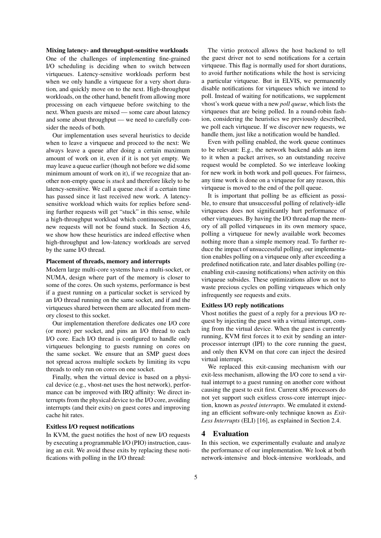#### Mixing latency- and throughput-sensitive workloads

One of the challenges of implementing fine-grained I/O scheduling is deciding when to switch between virtqueues. Latency-sensitive workloads perform best when we only handle a virtqueue for a very short duration, and quickly move on to the next. High-throughput workloads, on the other hand, benefit from allowing more processing on each virtqueue before switching to the next. When guests are mixed — some care about latency and some about throughput — we need to carefully consider the needs of both.

Our implementation uses several heuristics to decide when to leave a virtqueue and proceed to the next: We always leave a queue after doing a certain maximum amount of work on it, even if it is not yet empty. We may leave a queue earlier (though not before we did some minimum amount of work on it), if we recognize that another non-empty queue is *stuck* and therefore likely to be latency-sensitive. We call a queue *stuck* if a certain time has passed since it last received new work. A latencysensitive workload which waits for replies before sending further requests will get "stuck" in this sense, while a high-throughput workload which continuously creates new requests will not be found stuck. In Section 4.6, we show how these heuristics are indeed effective when high-throughput and low-latency workloads are served by the same I/O thread.

#### Placement of threads, memory and interrupts

Modern large multi-core systems have a multi-socket, or NUMA, design where part of the memory is closer to some of the cores. On such systems, performance is best if a guest running on a particular socket is serviced by an I/O thread running on the same socket, and if and the virtqueues shared between them are allocated from memory closest to this socket.

Our implementation therefore dedicates one I/O core (or more) per socket, and pins an I/O thread to each I/O core. Each I/O thread is configured to handle only virtqueues belonging to guests running on cores on the same socket. We ensure that an SMP guest does not spread across multiple sockets by limiting its vcpu threads to only run on cores on one socket.

Finally, when the virtual device is based on a physical device (e.g., vhost-net uses the host network), performance can be improved with IRQ affinity: We direct interrupts from the physical device to the I/O core, avoiding interrupts (and their exits) on guest cores and improving cache hit rates.

# Exitless I/O request notifications

In KVM, the guest notifies the host of new I/O requests by executing a programmable I/O (PIO) instruction, causing an exit. We avoid these exits by replacing these notifications with polling in the I/O thread:

The virtio protocol allows the host backend to tell the guest driver not to send notifications for a certain virtqueue. This flag is normally used for short durations, to avoid further notifications while the host is servicing a particular virtqueue. But in ELVIS, we permanently disable notifications for virtqueues which we intend to poll. Instead of waiting for notifications, we supplement vhost's work queue with a new *poll queue*, which lists the virtqueues that are being polled. In a round-robin fashion, considering the heuristics we previously described, we poll each virtqueue. If we discover new requests, we handle them, just like a notification would be handled.

Even with polling enabled, the work queue continues to be relevant: E.g., the network backend adds an item to it when a packet arrives, so an outstanding receive request would be completed. So we interleave looking for new work in both work and poll queues. For fairness, any time work is done on a virtqueue for any reason, this virtqueue is moved to the end of the poll queue.

It is important that polling be as efficient as possible, to ensure that unsuccessful polling of relatively-idle virtqueues does not significantly hurt performance of other virtqueues. By having the I/O thread map the memory of all polled virtqueues in its own memory space, polling a virtqueue for newly available work becomes nothing more than a simple memory read. To further reduce the impact of unsuccessful polling, our implementation enables polling on a virtqueue only after exceeding a predefined notification rate, and later disables polling (reenabling exit-causing notifications) when activity on this virtqueue subsides. These optimizations allow us not to waste precious cycles on polling virtqueues which only infrequently see requests and exits.

#### Exitless I/O reply notifications

Vhost notifies the guest of a reply for a previous I/O request by injecting the guest with a virtual interrupt, coming from the virtual device. When the guest is currently running, KVM first forces it to exit by sending an interprocessor interrupt (IPI) to the core running the guest, and only then KVM on that core can inject the desired virtual interrupt.

We replaced this exit-causing mechanism with our exit-less mechanism, allowing the I/O core to send a virtual interrupt to a guest running on another core without causing the guest to exit first. Current x86 processors do not yet support such exitless cross-core interrupt injection, known as *posted interrupts*. We emulated it extending an efficient software-only technique known as *Exit-Less Interrupts* (ELI) [16], as explained in Section 2.4.

#### 4 Evaluation

In this section, we experimentally evaluate and analyze the performance of our implementation. We look at both network-intensive and block-intensive workloads, and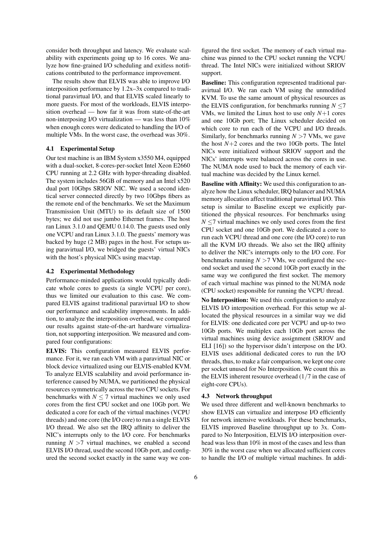consider both throughput and latency. We evaluate scalability with experiments going up to 16 cores. We analyze how fine-grained I/O scheduling and exitless notifications contributed to the performance improvement.

The results show that ELVIS was able to improve I/O interposition performance by 1.2x–3x compared to traditional paravirtual I/O, and that ELVIS scaled linearly to more guests. For most of the workloads, ELVIS interposition overhead — how far it was from state-of-the-art non-interposing I/O virtualization — was less than 10% when enough cores were dedicated to handling the I/O of multiple VMs. In the worst case, the overhead was 30%.

#### 4.1 Experimental Setup

Our test machine is an IBM System x3550 M4, equipped with a dual-socket, 8-cores-per-socket Intel Xeon E2660 CPU running at 2.2 GHz with hyper-threading disabled. The system includes 56GB of memory and an Intel x520 dual port 10Gbps SRIOV NIC. We used a second identical server connected directly by two 10Gbps fibers as the remote end of the benchmarks. We set the Maximum Transmission Unit (MTU) to its default size of 1500 bytes; we did not use jumbo Ethernet frames. The host ran Linux 3.1.0 and QEMU 0.14.0. The guests used only one VCPU and ran Linux 3.1.0. The guests' memory was backed by huge (2 MB) pages in the host. For setups using paravirtual I/O, we bridged the guests' virtual NICs with the host's physical NICs using macvtap.

#### 4.2 Experimental Methodology

Performance-minded applications would typically dedicate whole cores to guests (a single VCPU per core), thus we limited our evaluation to this case. We compared ELVIS against traditional paravirtual I/O to show our performance and scalability improvements. In addition, to analyze the interposition overhead, we compared our results against state-of-the-art hardware virtualization, not supporting interposition. We measured and compared four configurations:

ELVIS: This configuration measured ELVIS performance. For it, we ran each VM with a paravirtual NIC or block device virtualized using our ELVIS-enabled KVM. To analyze ELVIS scalability and avoid performance interference caused by NUMA, we partitioned the physical resources symmetrically across the two CPU sockets. For benchmarks with  $N \leq 7$  virtual machines we only used cores from the first CPU socket and one 10Gb port. We dedicated a core for each of the virtual machines (VCPU threads) and one core (the I/O core) to run a single ELVIS I/O thread. We also set the IRQ affinity to deliver the NIC's interrupts only to the I/O core. For benchmarks running  $N > 7$  virtual machines, we enabled a second ELVIS I/O thread, used the second 10Gb port, and configured the second socket exactly in the same way we con-

figured the first socket. The memory of each virtual machine was pinned to the CPU socket running the VCPU thread. The Intel NICs were initialized without SRIOV support.

Baseline: This configuration represented traditional paravirtual I/O. We ran each VM using the unmodified KVM. To use the same amount of physical resources as the ELVIS configuration, for benchmarks running *N ≤*7 VMs, we limited the Linux host to use only *N*+1 cores and one 10Gb port; The Linux scheduler decided on which core to run each of the VCPU and I/O threads. Similarly, for benchmarks running *N >*7 VMs, we gave the host  $N+2$  cores and the two 10Gb ports. The Intel NICs were initialized without SRIOV support and the NICs' interrupts were balanced across the cores in use. The NUMA node used to back the memory of each virtual machine was decided by the Linux kernel.

Baseline with Affinity: We used this configuration to analyze how the Linux scheduler, IRQ balancer and NUMA memory allocation affect traditional paravirtual I/O. This setup is similar to Baseline except we explicitly partitioned the physical resources. For benchmarks using *N* ≤7 virtual machines we only used cores from the first CPU socket and one 10Gb port. We dedicated a core to run each VCPU thread and one core (the I/O core) to run all the KVM I/O threads. We also set the IRQ affinity to deliver the NIC's interrupts only to the I/O core. For benchmarks running  $N > 7$  VMs, we configured the second socket and used the second 10Gb port exactly in the same way we configured the first socket. The memory of each virtual machine was pinned to the NUMA node (CPU socket) responsible for running the VCPU thread.

No Interposition: We used this configuration to analyze ELVIS I/O interposition overhead. For this setup we allocated the physical resources in a similar way we did for ELVIS: one dedicated core per VCPU and up-to two 10Gb ports. We multiplex each 10Gb port across the virtual machines using device assignment (SRIOV and ELI [16]) so the hypervisor didn't interpose on the I/O. ELVIS uses additional dedicated cores to run the I/O threads, thus, to make a fair comparison, we kept one core per socket unused for No Interposition. We count this as the ELVIS inherent resource overhead (1*/*7 in the case of eight-core CPUs).

#### 4.3 Network throughput

We used three different and well-known benchmarks to show ELVIS can virtualize and interpose I/O efficiently for network intensive workloads. For these benchmarks, ELVIS improved Baseline throughput up to 3x. Compared to No Interposition, ELVIS I/O interposition overhead was less than 10% in most of the cases and less than 30% in the worst case when we allocated sufficient cores to handle the I/O of multiple virtual machines. In addi-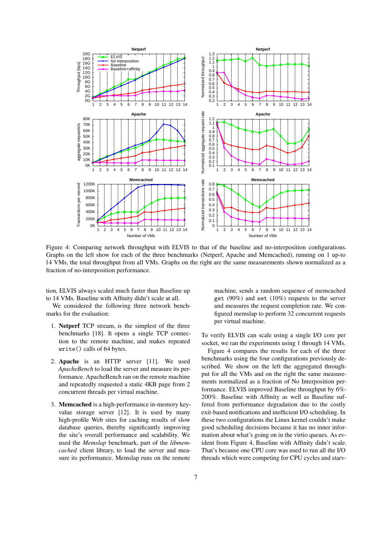

Figure 4: Comparing network throughput with ELVIS to that of the baseline and no-interposition configurations. Graphs on the left show for each of the three benchmarks (Netperf, Apache and Memcached), running on 1 up-to 14 VMs, the total throughput from all VMs. Graphs on the right are the same measurements shown normalized as a fraction of no-interposition performance.

tion, ELVIS always scaled much faster than Baseline up to 14 VMs. Baseline with Affinity didn't scale at all.

We considered the following three network benchmarks for the evaluation:

- 1. Netperf TCP stream, is the simplest of the three benchmarks [18]. It opens a single TCP connection to the remote machine, and makes repeated write() calls of 64 bytes.
- 2. Apache is an HTTP server [11]. We used *ApacheBench* to load the server and measure its performance. ApacheBench ran on the remote machine and repeatedly requested a static 4KB page from 2 concurrent threads per virtual machine.
- 3. Memcached is a high-performance in-memory keyvalue storage server [12]. It is used by many high-profile Web sites for caching results of slow database queries, thereby significantly improving the site's overall performance and scalability. We used the *Memslap* benchmark, part of the *libmemcached* client library, to load the server and measure its performance. Memslap runs on the remote

machine, sends a random sequence of memcached get (90%) and set (10%) requests to the server and measures the request completion rate. We configured memslap to perform 32 concurrent requests per virtual machine.

To verify ELVIS can scale using a single I/O core per socket, we ran the experiments using 1 through 14 VMs.

Figure 4 compares the results for each of the three benchmarks using the four configurations previously described. We show on the left the aggregated throughput for all the VMs and on the right the same measurements normalized as a fraction of No Interposition performance. ELVIS improved Baseline throughput by 6%- 200%. Baseline with Affinity as well as Baseline suffered from performance degradation due to the costly exit-based notifications and inefficient I/O scheduling. In these two configurations the Linux kernel couldn't make good scheduling decisions because it has no inner information about what's going on in the virtio queues. As evident from Figure 4, Baseline with Affinity didn't scale. That's because one CPU core was used to run all the I/O threads which were competing for CPU cycles and starv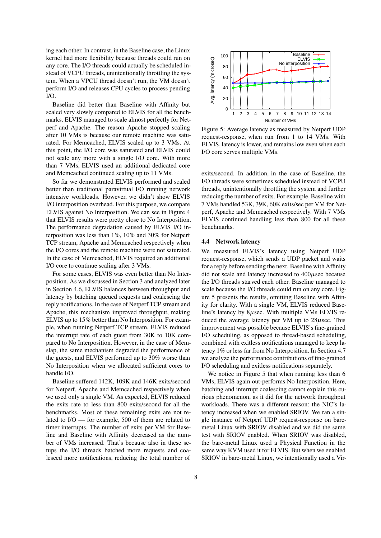ing each other. In contrast, in the Baseline case, the Linux kernel had more flexibility because threads could run on any core. The I/O threads could actually be scheduled instead of VCPU threads, unintentionally throttling the system. When a VPCU thread doesn't run, the VM doesn't perform I/O and releases CPU cycles to process pending  $I/O$ .

Baseline did better than Baseline with Affinity but scaled very slowly compared to ELVIS for all the benchmarks. ELVIS managed to scale almost perfectly for Netperf and Apache. The reason Apache stopped scaling after 10 VMs is because our remote machine was saturated. For Memcached, ELVIS scaled up to 3 VMs. At this point, the I/O core was saturated and ELVIS could not scale any more with a single I/O core. With more than 7 VMs, ELVIS used an additional dedicated core and Memcached continued scaling up to 11 VMs.

So far we demonstrated ELVIS performed and scaled better than traditional paravirtual I/O running network intensive workloads. However, we didn't show ELVIS I/O interposition overhead. For this purpose, we compare ELVIS against No Interposition. We can see in Figure 4 that ELVIS results were pretty close to No Interposition. The performance degradation caused by ELVIS I/O interposition was less than 1%, 10% and 30% for Netperf TCP stream, Apache and Memcached respectively when the I/O cores and the remote machine were not saturated. In the case of Memcached, ELVIS required an additional I/O core to continue scaling after 3 VMs.

For some cases, ELVIS was even better than No Interposition. As we discussed in Section 3 and analyzed later in Section 4.6, ELVIS balances between throughput and latency by batching queued requests and coalescing the reply notifications. In the case of Netperf TCP stream and Apache, this mechanism improved throughput, making ELVIS up to 15% better than No Interposition. For example, when running Netperf TCP stream, ELVIS reduced the interrupt rate of each guest from 30K to 10K compared to No Interposition. However, in the case of Memslap, the same mechanism degraded the performance of the guests, and ELVIS performed up to 30% worse than No Interposition when we allocated sufficient cores to handle I/O.

Baseline suffered 142K, 109K and 146K exits/second for Netperf, Apache and Memcached respectively when we used only a single VM. As expected, ELVIS reduced the exits rate to less than 800 exits/second for all the benchmarks. Most of these remaining exits are not related to I/O — for example, 500 of them are related to timer interrupts. The number of exits per VM for Baseline and Baseline with Affinity decreased as the number of VMs increased. That's because also in these setups the I/O threads batched more requests and coalesced more notifications, reducing the total number of



Figure 5: Average latency as measured by Netperf UDP request-response, when run from 1 to 14 VMs. With ELVIS, latency is lower, and remains low even when each I/O core serves multiple VMs.

exits/second. In addition, in the case of Baseline, the I/O threads were sometimes scheduled instead of VCPU threads, unintentionally throttling the system and further reducing the number of exits. For example, Baseline with 7 VMs handled 53K, 39K, 60K exits/sec per VM for Netperf, Apache and Memcached respectively. With 7 VMs ELVIS continued handling less than 800 for all these benchmarks.

#### 4.4 Network latency

We measured ELVIS's latency using Netperf UDP request-response, which sends a UDP packet and waits for a reply before sending the next. Baseline with Affinity did not scale and latency increased to  $400\mu$ sec because the I/O threads starved each other. Baseline managed to scale because the I/O threads could run on any core. Figure 5 presents the results, omitting Baseline with Affinity for clarity. With a single VM, ELVIS reduced Baseline's latency by 8µsec. With multiple VMs ELVIS reduced the average latency per VM up to  $28\mu$ sec. This improvement was possible because ELVIS's fine-grained I/O scheduling, as opposed to thread-based scheduling, combined with exitless notifications managed to keep latency 1% or less far from No Interposition. In Section 4.7 we analyze the performance contributions of fine-grained I/O scheduling and exitless notifications separately.

We notice in Figure 5 that when running less than 6 VMs, ELVIS again out-performs No Interposition. Here, batching and interrupt coalescing cannot explain this curious phenomenon, as it did for the network throughput workloads. There was a different reason: the NIC's latency increased when we enabled SRIOV. We ran a single instance of Netperf UDP request-response on baremetal Linux with SRIOV disabled and we did the same test with SRIOV enabled. When SRIOV was disabled, the bare-metal Linux used a Physical Function in the same way KVM used it for ELVIS. But when we enabled SRIOV in bare-metal Linux, we intentionally used a Vir-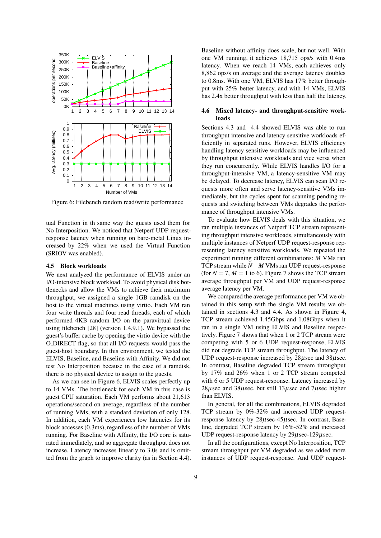

Figure 6: Filebench random read/write performance

tual Function in th same way the guests used them for No Interposition. We noticed that Netperf UDP requestresponse latency when running on bare-metal Linux increased by 22% when we used the Virtual Function (SRIOV was enabled).

#### 4.5 Block workloads

We next analyzed the performance of ELVIS under an I/O-intensive block workload. To avoid physical disk bottlenecks and allow the VMs to achieve their maximum throughput, we assigned a single 1GB ramdisk on the host to the virtual machines using virtio. Each VM ran four write threads and four read threads, each of which performed 4KB random I/O on the paravirtual device using filebench [28] (version 1.4.9.1). We bypassed the guest's buffer cache by opening the virtio device with the O DIRECT flag, so that all I/O requests would pass the guest-host boundary. In this environment, we tested the ELVIS, Baseline, and Baseline with Affinity. We did not test No Interposition because in the case of a ramdisk, there is no physical device to assign to the guests.

As we can see in Figure 6, ELVIS scales perfectly up to 14 VMs. The bottleneck for each VM in this case is guest CPU saturation. Each VM performs about 21,613 operations/second on average, regardless of the number of running VMs, with a standard deviation of only 128. In addition, each VM experiences low latencies for its block accesses (0.3ms), regardless of the number of VMs running. For Baseline with Affinity, the I/O core is saturated immediately, and so aggregate throughput does not increase. Latency increases linearly to 3.0s and is omitted from the graph to improve clarity (as in Section 4.4).

Baseline without affinity does scale, but not well. With one VM running, it achieves 18,715 ops/s with 0.4ms latency. When we reach 14 VMs, each achieves only 8,862 ops/s on average and the average latency doubles to 0.8ms. With one VM, ELVIS has 17% better throughput with 25% better latency, and with 14 VMs, ELVIS has 2.4x better throughput with less than half the latency.

#### 4.6 Mixed latency- and throughput-sensitive workloads

Sections 4.3 and 4.4 showed ELVIS was able to run throughput intensive and latency sensitive workloads efficiently in separated runs. However, ELVIS efficiency handling latency sensitive workloads may be influenced by throughput intensive workloads and vice versa when they run concurrently. While ELVIS handles I/O for a throughput-intensive VM, a latency-sensitive VM may be delayed. To decrease latency, ELVIS can scan I/O requests more often and serve latency-sensitive VMs immediately, but the cycles spent for scanning pending requests and switching between VMs degrades the performance of throughput intensive VMs.

To evaluate how ELVIS deals with this situation, we ran multiple instances of Netperf TCP stream representing throughput intensive workloads, simultaneously with multiple instances of Netperf UDP request-response representing latency sensitive workloads. We repeated the experiment running different combinations: *M* VMs ran TCP stream while *N−M* VMs ran UDP request-response (for  $N = 7$ ,  $M = 1$  to 6). Figure 7 shows the TCP stream average throughput per VM and UDP request-response average latency per VM.

We compared the average performance per VM we obtained in this setup with the single VM results we obtained in sections 4.3 and 4.4. As shown in Figure 4, TCP stream achieved 1.45Gbps and 1.08Gbps when it ran in a single VM using ELVIS and Baseline respectively. Figure 7 shows that when 1 or 2 TCP stream were competing with 5 or 6 UDP request-response, ELVIS did not degrade TCP stream throughput. The latency of UDP request-response increased by  $28\mu$ sec and  $38\mu$ sec. In contrast, Baseline degraded TCP stream throughput by 17% and 26% when 1 or 2 TCP stream competed with 6 or 5 UDP request-response. Latency increased by 28µsec and 38µsec, but still 13µsec and 7µsec higher than ELVIS.

In general, for all the combinations, ELVIS degraded TCP stream by 0%-32% and increased UDP requestresponse latency by 28µsec-45µsec. In contrast, Baseline, degraded TCP stream by 16%-52% and increased UDP request-response latency by  $29\mu$ sec-129 $\mu$ sec.

In all the configurations, except No Interposition, TCP stream throughput per VM degraded as we added more instances of UDP request-response. And UDP request-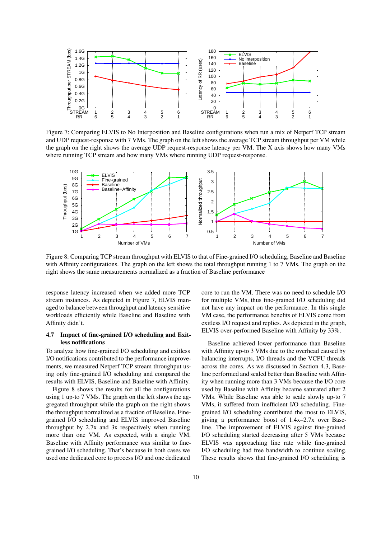

Figure 7: Comparing ELVIS to No Interposition and Baseline configurations when run a mix of Netperf TCP stream and UDP request-response with 7 VMs. The graph on the left shows the average TCP stream throughput per VM while the graph on the right shows the average UDP request-response latency per VM. The X axis shows how many VMs where running TCP stream and how many VMs where running UDP request-response.



Figure 8: Comparing TCP stream throughput with ELVIS to that of Fine-grained I/O scheduling, Baseline and Baseline with Affinity configurations. The graph on the left shows the total throughput running 1 to 7 VMs. The graph on the right shows the same measurements normalized as a fraction of Baseline performance

response latency increased when we added more TCP stream instances. As depicted in Figure 7, ELVIS managed to balance between throughput and latency sensitive workloads efficiently while Baseline and Baseline with Affinity didn't.

# 4.7 Impact of fine-grained I/O scheduling and Exitless notifications

To analyze how fine-grained I/O scheduling and exitless I/O notifications contributed to the performance improvements, we measured Netperf TCP stream throughput using only fine-grained I/O scheduling and compared the results with ELVIS, Baseline and Baseline with Affinity.

Figure 8 shows the results for all the configurations using 1 up-to 7 VMs. The graph on the left shows the aggregated throughput while the graph on the right shows the throughput normalized as a fraction of Baseline. Finegrained I/O scheduling and ELVIS improved Baseline throughput by 2.7x and 3x respectively when running more than one VM. As expected, with a single VM, Baseline with Affinity performance was similar to finegrained I/O scheduling. That's because in both cases we used one dedicated core to process I/O and one dedicated core to run the VM. There was no need to schedule I/O for multiple VMs, thus fine-grained I/O scheduling did not have any impact on the performance. In this single VM case, the performance benefits of ELVIS come from exitless I/O request and replies. As depicted in the graph, ELVIS over-performed Baseline with Affinity by 33%.

Baseline achieved lower performance than Baseline with Affinity up-to 3 VMs due to the overhead caused by balancing interrupts, I/O threads and the VCPU threads across the cores. As we discussed in Section 4.3, Baseline performed and scaled better than Baseline with Affinity when running more than 3 VMs because the I/O core used by Baseline with Affinity became saturated after 2 VMs. While Baseline was able to scale slowly up-to 7 VMs, it suffered from inefficient I/O scheduling. Finegrained I/O scheduling contributed the most to ELVIS, giving a performance boost of 1.4x–2.7x over Baseline. The improvement of ELVIS against fine-grained I/O scheduling started decreasing after 5 VMs because ELVIS was approaching line rate while fine-grained I/O scheduling had free bandwidth to continue scaling. These results shows that fine-grained I/O scheduling is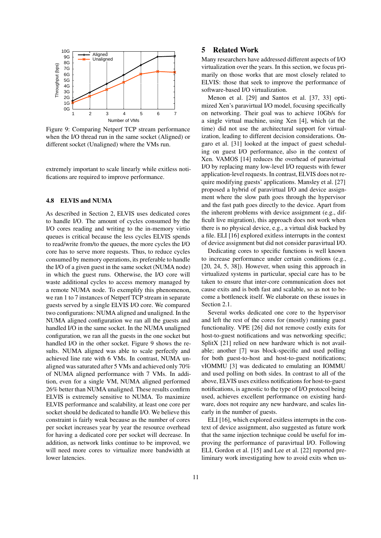

Figure 9: Comparing Netperf TCP stream performance when the I/O thread run in the same socket (Aligned) or different socket (Unaligned) where the VMs run.

extremely important to scale linearly while exitless notifications are required to improve performance.

# 4.8 ELVIS and NUMA

As described in Section 2, ELVIS uses dedicated cores to handle I/O. The amount of cycles consumed by the I/O cores reading and writing to the in-memory virtio queues is critical because the less cycles ELVIS spends to read/write from/to the queues, the more cycles the I/O core has to serve more requests. Thus, to reduce cycles consumed by memory operations, its preferable to handle the I/O of a given guest in the same socket (NUMA node) in which the guest runs. Otherwise, the I/O core will waste additional cycles to access memory managed by a remote NUMA node. To exemplify this phenomenon, we ran 1 to 7 instances of Netperf TCP stream in separate guests served by a single ELVIS I/O core. We compared two configurations: NUMA aligned and unaligned. In the NUMA aligned configuration we ran all the guests and handled I/O in the same socket. In the NUMA unaligned configuration, we ran all the guests in the one socket but handled I/O in the other socket. Figure 9 shows the results. NUMA aligned was able to scale perfectly and achieved line rate with 6 VMs. In contrast, NUMA unaligned was saturated after 5 VMs and achieved only 70% of NUMA aligned performance with 7 VMs. In addition, even for a single VM, NUMA aligned performed 26% better than NUMA unaligned. These results confirm ELVIS is extremely sensitive to NUMA. To maximize ELVIS performance and scalability, at least one core per socket should be dedicated to handle I/O. We believe this constraint is fairly weak because as the number of cores per socket increases year by year the resource overhead for having a dedicated core per socket will decrease. In addition, as network links continue to be improved, we will need more cores to virtualize more bandwidth at lower latencies.

# 5 Related Work

Many researchers have addressed different aspects of I/O virtualization over the years. In this section, we focus primarily on those works that are most closely related to ELVIS: those that seek to improve the performance of software-based I/O virtualization.

Menon et al. [29] and Santos et al. [37, 33] optimized Xen's paravirtual I/O model, focusing specifically on networking. Their goal was to achieve 10Gb/s for a single virtual machine, using Xen [4], which (at the time) did not use the architectural support for virtualization, leading to different decision considerations. Ongaro et al. [31] looked at the impact of guest scheduling on guest I/O performance, also in the context of Xen. VAMOS [14] reduces the overhead of paravirtual I/O by replacing many low-level I/O requests with fewer application-level requests. In contrast, ELVIS does not require modifying guests' applications. Mansley et al. [27] proposed a hybrid of paravirtual I/O and device assignment where the slow path goes through the hypervisor and the fast path goes directly to the device. Apart from the inherent problems with device assignment (e.g., difficult live migration), this approach does not work when there is no physical device, e.g., a virtual disk backed by a file. ELI [16] explored exitless interrupts in the context of device assignment but did not consider paravirtual I/O.

Dedicating cores to specific functions is well known to increase performance under certain conditions (e.g., [20, 24, 5, 38]). However, when using this approach in virtualized systems in particular, special care has to be taken to ensure that inter-core communication does not cause exits and is both fast and scalable, so as not to become a bottleneck itself. We elaborate on these issues in Section 2.1.

Several works dedicated one core to the hypervisor and left the rest of the cores for (mostly) running guest functionality. VPE [26] did not remove costly exits for host-to-guest notifications and was networking specific; SplitX [21] relied on new hardware which is not available; another [7] was block-specific and used polling for both guest-to-host and host-to-guest notifications; vIOMMU [3] was dedicated to emulating an IOMMU and used polling on both sides. In contrast to all of the above, ELVIS uses exitless notifications for host-to-guest notifications, is agnostic to the type of I/O protocol being used, achieves excellent performance on existing hardware, does not require any new hardware, and scales linearly in the number of guests.

ELI [16], which explored exitless interrupts in the context of device assignment, also suggested as future work that the same injection technique could be useful for improving the performance of paravirtual I/O. Following ELI, Gordon et al. [15] and Lee et al. [22] reported preliminary work investigating how to avoid exits when us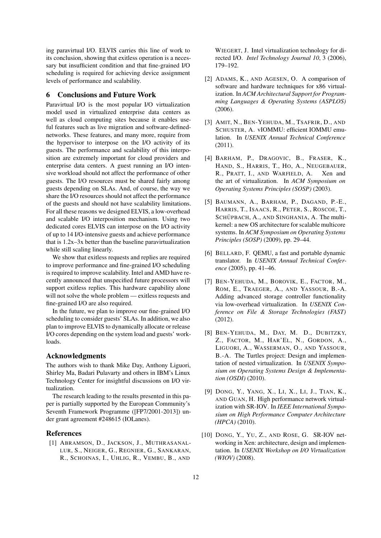ing paravirtual I/O. ELVIS carries this line of work to its conclusion, showing that exitless operation is a necessary but insufficient condition and that fine-grained I/O scheduling is required for achieving device assignment levels of performance and scalability.

# 6 Conclusions and Future Work

Paravirtual I/O is the most popular I/O virtualization model used in virtualized enterprise data centers as well as cloud computing sites because it enables useful features such as live migration and software-definednetworks. These features, and many more, require from the hypervisor to interpose on the I/O activity of its guests. The performance and scalability of this interposition are extremely important for cloud providers and enterprise data centers. A guest running an I/O intensive workload should not affect the performance of other guests. The I/O resources must be shared fairly among guests depending on SLAs. And, of course, the way we share the I/O resources should not affect the performance of the guests and should not have scalability limitations. For all these reasons we designed ELVIS, a low-overhead and scalable I/O interposition mechanism. Using two dedicated cores ELVIS can interpose on the I/O activity of up to 14 I/O-intensive guests and achieve performance that is 1.2x–3x better than the baseline paravirtualization while still scaling linearly.

We show that exitless requests and replies are required to improve performance and fine-grained I/O scheduling is required to improve scalability. Intel and AMD have recently announced that unspecified future processors will support exitless replies. This hardware capability alone will not solve the whole problem — exitless requests and fine-grained I/O are also required.

In the future, we plan to improve our fine-grained I/O scheduling to consider guests' SLAs. In addition, we also plan to improve ELVIS to dynamically allocate or release I/O cores depending on the system load and guests' workloads.

# Acknowledgments

The authors wish to thank Mike Day, Anthony Liguori, Shirley Ma, Badari Pulavarty and others in IBM's Linux Technology Center for insightful discussions on I/O virtualization.

The research leading to the results presented in this paper is partially supported by the European Community's Seventh Framework Programme ([FP7/2001-2013]) under grant agreement #248615 (IOLanes).

#### References

[1] ABRAMSON, D., JACKSON, J., MUTHRASANAL-LUR, S., NEIGER, G., REGNIER, G., SANKARAN, R., SCHOINAS, I., UHLIG, R., VEMBU, B., AND

WIEGERT, J. Intel virtualization technology for directed I/O. *Intel Technology Journal 10*, 3 (2006), 179–192.

- [2] ADAMS, K., AND AGESEN, O. A comparison of software and hardware techniques for x86 virtualization. In *ACM Architectural Support for Programming Languages & Operating Systems (ASPLOS)* (2006).
- [3] AMIT, N., BEN-YEHUDA, M., TSAFRIR, D., AND SCHUSTER, A. vIOMMU: efficient IOMMU emulation. In *USENIX Annual Technical Conference* (2011).
- [4] BARHAM, P., DRAGOVIC, B., FRASER, K., HAND, S., HARRIS, T., HO, A., NEUGEBAUER, R., PRATT, I., AND WARFIELD, A. Xen and the art of virtualization. In *ACM Symposium on Operating Systems Principles (SOSP)* (2003).
- [5] BAUMANN, A., BARHAM, P., DAGAND, P.-E., HARRIS, T., ISAACS, R., PETER, S., ROSCOE, T., SCHÜPBACH, A., AND SINGHANIA, A. The multikernel: a new OS architecture for scalable multicore systems. In *ACM Symposium on Operating Systems Principles (SOSP)* (2009), pp. 29–44.
- [6] BELLARD, F. QEMU, a fast and portable dynamic translator. In *USENIX Annual Technical Conference* (2005), pp. 41–46.
- [7] BEN-YEHUDA, M., BOROVIK, E., FACTOR, M., ROM, E., TRAEGER, A., AND YASSOUR, B.-A. Adding advanced storage controller functionality via low-overhead virtualization. In *USENIX Conference on File & Storage Technologies (FAST)* (2012).
- [8] BEN-YEHUDA, M., DAY, M. D., DUBITZKY, Z., FACTOR, M., HAR'EL, N., GORDON, A., LIGUORI, A., WASSERMAN, O., AND YASSOUR, B.-A. The Turtles project: Design and implementation of nested virtualization. In *USENIX Symposium on Operating Systems Design & Implementation (OSDI)* (2010).
- [9] DONG, Y., YANG, X., LI, X., LI, J., TIAN, K., AND GUAN, H. High performance network virtualization with SR-IOV. In *IEEE International Symposium on High Performance Computer Architecture (HPCA)* (2010).
- [10] DONG, Y., YU, Z., AND ROSE, G. SR-IOV networking in Xen: architecture, design and implementation. In *USENIX Workshop on I/O Virtualization (WIOV)* (2008).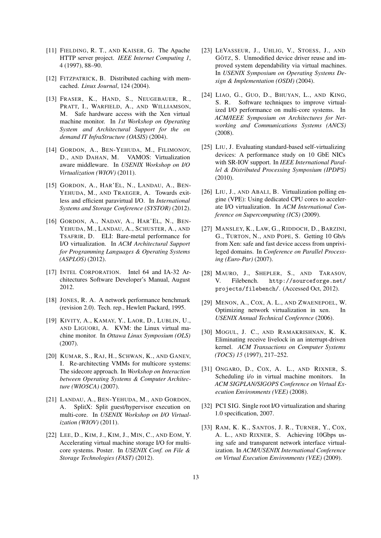- [11] FIELDING, R. T., AND KAISER, G. The Apache HTTP server project. *IEEE Internet Computing 1*, 4 (1997), 88–90.
- [12] FITZPATRICK, B. Distributed caching with memcached. *Linux Journal*, 124 (2004).
- [13] FRASER, K., HAND, S., NEUGEBAUER, R., PRATT, I., WARFIELD, A., AND WILLIAMSON, M. Safe hardware access with the Xen virtual machine monitor. In *1st Workshop on Operating System and Architectural Support for the on demand IT InfraStructure (OASIS)* (2004).
- [14] GORDON, A., BEN-YEHUDA, M., FILIMONOV, D., AND DAHAN, M. VAMOS: Virtualization aware middleware. In *USENIX Workshop on I/O Virtualization (WIOV)* (2011).
- [15] GORDON, A., HAR'EL, N., LANDAU, A., BEN-YEHUDA, M., AND TRAEGER, A. Towards exitless and efficient paravirtual I/O. In *International Systems and Storage Conference (SYSTOR)* (2012).
- [16] GORDON, A., NADAV, A., HAR'EL, N., BEN-YEHUDA, M., LANDAU, A., SCHUSTER, A., AND TSAFRIR, D. ELI: Bare-metal performance for I/O virtualization. In *ACM Architectural Support for Programming Languages & Operating Systems (ASPLOS)* (2012).
- [17] INTEL CORPORATION. Intel 64 and IA-32 Architectures Software Developer's Manual, August 2012.
- [18] JONES, R. A. A network performance benchmark (revision 2.0). Tech. rep., Hewlett Packard, 1995.
- [19] KIVITY, A., KAMAY, Y., LAOR, D., LUBLIN, U., AND LIGUORI, A. KVM: the Linux virtual machine monitor. In *Ottawa Linux Symposium (OLS)* (2007).
- [20] KUMAR, S., RAJ, H., SCHWAN, K., AND GANEV, I. Re-architecting VMMs for multicore systems: The sidecore approach. In *Workshop on Interaction between Operating Systems & Computer Architecture (WIOSCA)* (2007).
- [21] LANDAU, A., BEN-YEHUDA, M., AND GORDON, A. SplitX: Split guest/hypervisor execution on multi-core. In *USENIX Workshop on I/O Virtualization (WIOV)* (2011).
- [22] LEE, D., KIM, J., KIM, J., MIN, C., AND EOM, Y. Accelerating virtual machine storage I/O for multicore systems. Poster. In *USENIX Conf. on File & Storage Technologies (FAST)* (2012).
- [23] LEVASSEUR, J., UHLIG, V., STOESS, J., AND GÖTZ, S. Unmodified device driver reuse and improved system dependability via virtual machines. In *USENIX Symposium on Operating Systems Design & Implementation (OSDI)* (2004).
- [24] LIAO, G., GUO, D., BHUYAN, L., AND KING, S. R. Software techniques to improve virtualized I/O performance on multi-core systems. In *ACM/IEEE Symposium on Architectures for Networking and Communications Systems (ANCS)* (2008).
- [25] LIU, J. Evaluating standard-based self-virtualizing devices: A performance study on 10 GbE NICs with SR-IOV support. In *IEEE International Parallel & Distributed Processing Symposium (IPDPS)* (2010).
- [26] LIU, J., AND ABALI, B. Virtualization polling engine (VPE): Using dedicated CPU cores to accelerate I/O virtualization. In *ACM International Conference on Supercomputing (ICS)* (2009).
- [27] MANSLEY, K., LAW, G., RIDDOCH, D., BARZINI, G., TURTON, N., AND POPE, S. Getting 10 Gb/s from Xen: safe and fast device access from unprivileged domains. In *Conference on Parallel Processing (Euro-Par)* (2007).
- [28] MAURO, J., SHEPLER, S., AND TARASOV, V. Filebench. http://sourceforge.net/ projects/filebench/. (Accessed Oct, 2012).
- [29] MENON, A., COX, A. L., AND ZWAENEPOEL, W. Optimizing network virtualization in xen. In *USENIX Annual Technical Conference* (2006).
- [30] MOGUL, J. C., AND RAMAKRISHNAN, K. K. Eliminating receive livelock in an interrupt-driven kernel. *ACM Transactions on Computer Systems (TOCS) 15* (1997), 217–252.
- [31] ONGARO, D., COX, A. L., AND RIXNER, S. Scheduling i/o in virtual machine monitors. In *ACM SIGPLAN/SIGOPS Conference on Virtual Execution Environments (VEE)* (2008).
- [32] PCI SIG. Single root I/O virtualization and sharing 1.0 specification, 2007.
- [33] RAM, K. K., SANTOS, J. R., TURNER, Y., COX, A. L., AND RIXNER, S. Achieving 10Gbps using safe and transparent network interface virtualization. In *ACM/USENIX International Conference on Virtual Execution Environments (VEE)* (2009).